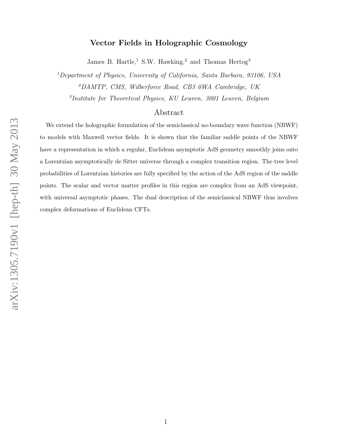# Vector Fields in Holographic Cosmology

James B. Hartle,<sup>1</sup> S.W. Hawking,<sup>2</sup> and Thomas Hertog<sup>3</sup>

<sup>1</sup>Department of Physics, University of California, Santa Barbara, 93106, USA <sup>2</sup>DAMTP, CMS, Wilberforce Road, CB3 0WA Cambridge, UK

3 Institute for Theoretical Physics, KU Leuven, 3001 Leuven, Belgium

## Abstract

We extend the holographic formulation of the semiclassical no-boundary wave function (NBWF) to models with Maxwell vector fields. It is shown that the familiar saddle points of the NBWF have a representation in which a regular, Euclidean asymptotic AdS geometry smoothly joins onto a Lorentzian asymptotically de Sitter universe through a complex transition region. The tree level probabilities of Lorentzian histories are fully specified by the action of the AdS region of the saddle points. The scalar and vector matter profiles in this region are complex from an AdS viewpoint, with universal asymptotic phases. The dual description of the semiclassical NBWF thus involves complex deformations of Euclidean CFTs.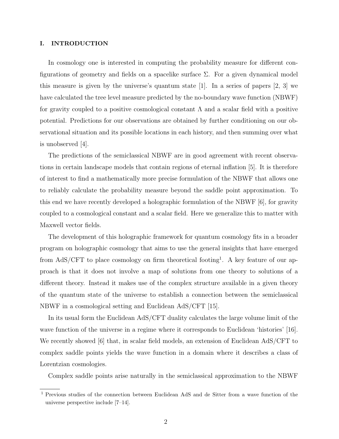## I. INTRODUCTION

In cosmology one is interested in computing the probability measure for different configurations of geometry and fields on a spacelike surface  $\Sigma$ . For a given dynamical model this measure is given by the universe's quantum state  $[1]$ . In a series of papers  $[2, 3]$  we have calculated the tree level measure predicted by the no-boundary wave function (NBWF) for gravity coupled to a positive cosmological constant  $\Lambda$  and a scalar field with a positive potential. Predictions for our observations are obtained by further conditioning on our observational situation and its possible locations in each history, and then summing over what is unobserved [4].

The predictions of the semiclassical NBWF are in good agreement with recent observations in certain landscape models that contain regions of eternal inflation [5]. It is therefore of interest to find a mathematically more precise formulation of the NBWF that allows one to reliably calculate the probability measure beyond the saddle point approximation. To this end we have recently developed a holographic formulation of the NBWF [6], for gravity coupled to a cosmological constant and a scalar field. Here we generalize this to matter with Maxwell vector fields.

The development of this holographic framework for quantum cosmology fits in a broader program on holographic cosmology that aims to use the general insights that have emerged from AdS/CFT to place cosmology on firm theoretical footing<sup>1</sup>. A key feature of our approach is that it does not involve a map of solutions from one theory to solutions of a different theory. Instead it makes use of the complex structure available in a given theory of the quantum state of the universe to establish a connection between the semiclassical NBWF in a cosmological setting and Euclidean AdS/CFT [15].

In its usual form the Euclidean AdS/CFT duality calculates the large volume limit of the wave function of the universe in a regime where it corresponds to Euclidean 'histories' [16]. We recently showed [6] that, in scalar field models, an extension of Euclidean AdS/CFT to complex saddle points yields the wave function in a domain where it describes a class of Lorentzian cosmologies.

Complex saddle points arise naturally in the semiclassical approximation to the NBWF

<sup>1</sup> Previous studies of the connection between Euclidean AdS and de Sitter from a wave function of the universe perspective include [7–14].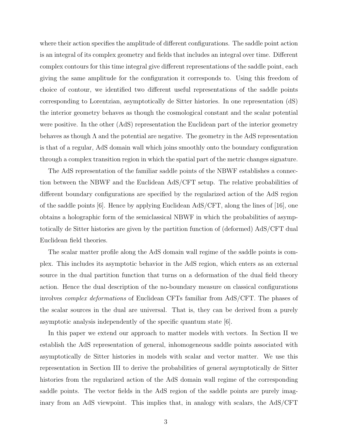where their action specifies the amplitude of different configurations. The saddle point action is an integral of its complex geometry and fields that includes an integral over time. Different complex contours for this time integral give different representations of the saddle point, each giving the same amplitude for the configuration it corresponds to. Using this freedom of choice of contour, we identified two different useful representations of the saddle points corresponding to Lorentzian, asymptotically de Sitter histories. In one representation (dS) the interior geometry behaves as though the cosmological constant and the scalar potential were positive. In the other (AdS) representation the Euclidean part of the interior geometry behaves as though  $\Lambda$  and the potential are negative. The geometry in the AdS representation is that of a regular, AdS domain wall which joins smoothly onto the boundary configuration through a complex transition region in which the spatial part of the metric changes signature.

The AdS representation of the familiar saddle points of the NBWF establishes a connection between the NBWF and the Euclidean AdS/CFT setup. The relative probabilities of different boundary configurations are specified by the regularized action of the AdS region of the saddle points  $|6|$ . Hence by applying Euclidean AdS/CFT, along the lines of  $|16|$ , one obtains a holographic form of the semiclassical NBWF in which the probabilities of asymptotically de Sitter histories are given by the partition function of (deformed) AdS/CFT dual Euclidean field theories.

The scalar matter profile along the AdS domain wall regime of the saddle points is complex. This includes its asymptotic behavior in the AdS region, which enters as an external source in the dual partition function that turns on a deformation of the dual field theory action. Hence the dual description of the no-boundary measure on classical configurations involves complex deformations of Euclidean CFTs familiar from AdS/CFT. The phases of the scalar sources in the dual are universal. That is, they can be derived from a purely asymptotic analysis independently of the specific quantum state [6].

In this paper we extend our approach to matter models with vectors. In Section II we establish the AdS representation of general, inhomogeneous saddle points associated with asymptotically de Sitter histories in models with scalar and vector matter. We use this representation in Section III to derive the probabilities of general asymptotically de Sitter histories from the regularized action of the AdS domain wall regime of the corresponding saddle points. The vector fields in the AdS region of the saddle points are purely imaginary from an AdS viewpoint. This implies that, in analogy with scalars, the AdS/CFT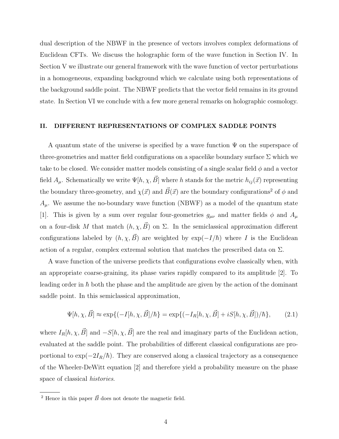dual description of the NBWF in the presence of vectors involves complex deformations of Euclidean CFTs. We discuss the holographic form of the wave function in Section IV. In Section V we illustrate our general framework with the wave function of vector perturbations in a homogeneous, expanding background which we calculate using both representations of the background saddle point. The NBWF predicts that the vector field remains in its ground state. In Section VI we conclude with a few more general remarks on holographic cosmology.

#### II. DIFFERENT REPRESENTATIONS OF COMPLEX SADDLE POINTS

A quantum state of the universe is specified by a wave function  $\Psi$  on the superspace of three-geometries and matter field configurations on a spacelike boundary surface  $\Sigma$  which we take to be closed. We consider matter models consisting of a single scalar field  $\phi$  and a vector field  $A_\mu$ . Schematically we write  $\Psi[h, \chi, \vec{B}]$  where h stands for the metric  $h_{ij}(\vec{x})$  representing the boundary three-geometry, and  $\chi(\vec{x})$  and  $\vec{B}(\vec{x})$  are the boundary configurations<sup>2</sup> of  $\phi$  and  $A_{\mu}$ . We assume the no-boundary wave function (NBWF) as a model of the quantum state [1]. This is given by a sum over regular four-geometries  $g_{\mu\nu}$  and matter fields  $\phi$  and  $A_{\mu}$ on a four-disk M that match  $(h, \chi, \vec{B})$  on  $\Sigma$ . In the semiclassical approximation different configurations labeled by  $(h, \chi, \vec{B})$  are weighted by exp( $-I/\hbar$ ) where I is the Euclidean action of a regular, complex extremal solution that matches the prescribed data on  $\Sigma$ .

A wave function of the universe predicts that configurations evolve classically when, with an appropriate coarse-graining, its phase varies rapidly compared to its amplitude [2]. To leading order in  $\hbar$  both the phase and the amplitude are given by the action of the dominant saddle point. In this semiclassical approximation,

$$
\Psi[h, \chi, \vec{B}] \approx \exp\{(-I[h, \chi, \vec{B}]/\hbar\} = \exp\{(-I_R[h, \chi, \vec{B}] + iS[h, \chi, \vec{B}])/\hbar\},\tag{2.1}
$$

where  $I_R[h, \chi, \vec{B}]$  and  $-S[h, \chi, \vec{B}]$  are the real and imaginary parts of the Euclidean action, evaluated at the saddle point. The probabilities of different classical configurations are proportional to  $\exp(-2I_R/\hbar)$ . They are conserved along a classical trajectory as a consequence of the Wheeler-DeWitt equation [2] and therefore yield a probability measure on the phase space of classical histories.

<sup>&</sup>lt;sup>2</sup> Hence in this paper  $\vec{B}$  does not denote the magnetic field.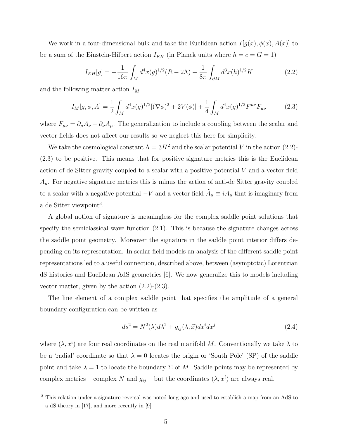We work in a four-dimensional bulk and take the Euclidean action  $I[g(x), \phi(x), A(x)]$  to be a sum of the Einstein-Hilbert action  $I_{EH}$  (in Planck units where  $\hbar = c = G = 1$ )

$$
I_{EH}[g] = -\frac{1}{16\pi} \int_M d^4x (g)^{1/2} (R - 2\Lambda) - \frac{1}{8\pi} \int_{\partial M} d^3x (h)^{1/2} K \tag{2.2}
$$

and the following matter action  $I_M$ 

$$
I_M[g, \phi, A] = \frac{1}{2} \int_M d^4x (g)^{1/2} [(\nabla \phi)^2 + 2V(\phi)] + \frac{1}{4} \int_M d^4x (g)^{1/2} F^{\mu\nu} F_{\mu\nu}
$$
(2.3)

where  $F_{\mu\nu} = \partial_{\mu}A_{\nu} - \partial_{\nu}A_{\mu}$ . The generalization to include a coupling between the scalar and vector fields does not affect our results so we neglect this here for simplicity.

We take the cosmological constant  $\Lambda = 3H^2$  and the scalar potential V in the action (2.2)-(2.3) to be positive. This means that for positive signature metrics this is the Euclidean action of de Sitter gravity coupled to a scalar with a positive potential  $V$  and a vector field  $A_{\mu}$ . For negative signature metrics this is minus the action of anti-de Sitter gravity coupled to a scalar with a negative potential  $-V$  and a vector field  $\tilde{A}_{\mu} \equiv iA_{\mu}$  that is imaginary from a de Sitter viewpoint<sup>3</sup>.

A global notion of signature is meaningless for the complex saddle point solutions that specify the semiclassical wave function (2.1). This is because the signature changes across the saddle point geometry. Moreover the signature in the saddle point interior differs depending on its representation. In scalar field models an analysis of the different saddle point representations led to a useful connection, described above, between (asymptotic) Lorentzian dS histories and Euclidean AdS geometries [6]. We now generalize this to models including vector matter, given by the action  $(2.2)-(2.3)$ .

The line element of a complex saddle point that specifies the amplitude of a general boundary configuration can be written as

$$
ds^{2} = N^{2}(\lambda)d\lambda^{2} + g_{ij}(\lambda, \vec{x})dx^{i}dx^{j}
$$
\n(2.4)

where  $(\lambda, x^i)$  are four real coordinates on the real manifold M. Conventionally we take  $\lambda$  to be a 'radial' coordinate so that  $\lambda = 0$  locates the origin or 'South Pole' (SP) of the saddle point and take  $\lambda = 1$  to locate the boundary  $\Sigma$  of M. Saddle points may be represented by complex metrics – complex N and  $g_{ij}$  – but the coordinates  $(\lambda, x^i)$  are always real.

<sup>3</sup> This relation under a signature reversal was noted long ago and used to establish a map from an AdS to a dS theory in [17], and more recently in [9].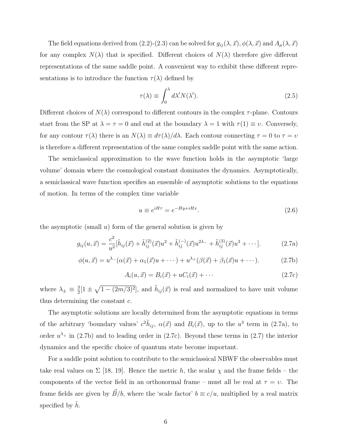The field equations derived from (2.2)-(2.3) can be solved for  $g_{ij}(\lambda, \vec{x}), \phi(\lambda, \vec{x})$  and  $A_\mu(\lambda, \vec{x})$ for any complex  $N(\lambda)$  that is specified. Different choices of  $N(\lambda)$  therefore give different representations of the same saddle point. A convenient way to exhibit these different representations is to introduce the function  $\tau(\lambda)$  defined by

$$
\tau(\lambda) \equiv \int_0^{\lambda} d\lambda' N(\lambda'). \tag{2.5}
$$

Different choices of  $N(\lambda)$  correspond to different contours in the complex  $\tau$ -plane. Contours start from the SP at  $\lambda = \tau = 0$  and end at the boundary  $\lambda = 1$  with  $\tau(1) \equiv v$ . Conversely, for any contour  $\tau(\lambda)$  there is an  $N(\lambda) \equiv d\tau(\lambda)/d\lambda$ . Each contour connecting  $\tau = 0$  to  $\tau = \nu$ is therefore a different representation of the same complex saddle point with the same action.

The semiclassical approximation to the wave function holds in the asymptotic 'large volume' domain where the cosmological constant dominates the dynamics. Asymptotically, a semiclassical wave function specifies an ensemble of asymptotic solutions to the equations of motion. In terms of the complex time variable

$$
u \equiv e^{iH\tau} = e^{-Hy + iHx}.\tag{2.6}
$$

the asymptotic (small  $u$ ) form of the general solution is given by

$$
g_{ij}(u,\vec{x}) = \frac{c^2}{u^2} [\tilde{h}_{ij}(\vec{x}) + \tilde{h}_{ij}^{(2)}(\vec{x})u^2 + \tilde{h}_{ij}^{(-)}(\vec{x})u^{2\lambda_{-}} + \tilde{h}_{ij}^{(3)}(\vec{x})u^3 + \cdots].
$$
 (2.7a)

$$
\phi(u, \vec{x}) = u^{\lambda_-}(\alpha(\vec{x}) + \alpha_1(\vec{x})u + \cdots) + u^{\lambda_+}(\beta(\vec{x}) + \beta_1(\vec{x})u + \cdots). \tag{2.7b}
$$

$$
A_i(u, \vec{x}) = B_i(\vec{x}) + uC_i(\vec{x}) + \cdots
$$
\n(2.7c)

where  $\lambda_{\pm} \equiv \frac{3}{2}$  $\frac{3}{2}[1 \pm \sqrt{1-(2m/3)^2}]$ , and  $\tilde{h}_{ij}(\vec{x})$  is real and normalized to have unit volume thus determining the constant c.

The asymptotic solutions are locally determined from the asymptotic equations in terms of the arbitrary 'boundary values'  $c^2 \tilde{h}_{ij}$ ,  $\alpha(\vec{x})$  and  $B_i(\vec{x})$ , up to the  $u^3$  term in (2.7a), to order  $u^{\lambda_{+}}$  in (2.7b) and to leading order in (2.7c). Beyond these terms in (2.7) the interior dynamics and the specific choice of quantum state become important.

For a saddle point solution to contribute to the semiclassical NBWF the observables must take real values on  $\Sigma$  [18, 19]. Hence the metric h, the scalar  $\chi$  and the frame fields – the components of the vector field in an orthonormal frame – must all be real at  $\tau = v$ . The frame fields are given by  $\vec{B}/b$ , where the 'scale factor'  $b \equiv c/u$ , multiplied by a real matrix specified by  $h$ .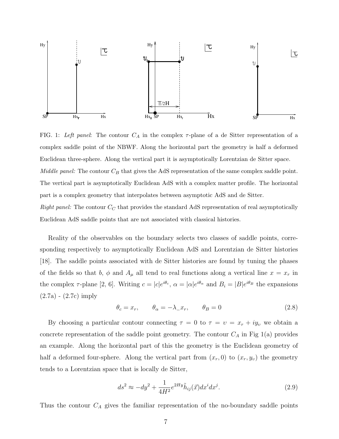

FIG. 1: Left panel: The contour  $C_A$  in the complex  $\tau$ -plane of a de Sitter representation of a complex saddle point of the NBWF. Along the horizontal part the geometry is half a deformed Euclidean three-sphere. Along the vertical part it is asymptotically Lorentzian de Sitter space. Middle panel: The contour  $C_B$  that gives the AdS representation of the same complex saddle point. The vertical part is asymptotically Euclidean AdS with a complex matter profile. The horizontal part is a complex geometry that interpolates between asymptotic AdS and de Sitter. Right panel: The contour  $C_C$  that provides the standard AdS representation of real asymptotically Euclidean AdS saddle points that are not associated with classical histories.

Reality of the observables on the boundary selects two classes of saddle points, corresponding respectively to asymptotically Euclidean AdS and Lorentzian de Sitter histories [18]. The saddle points associated with de Sitter histories are found by tuning the phases of the fields so that b,  $\phi$  and  $A_{\mu}$  all tend to real functions along a vertical line  $x = x_r$  in the complex  $\tau$ -plane [2, 6]. Writing  $c = |c|e^{i\theta_c}$ ,  $\alpha = |\alpha|e^{i\theta_\alpha}$  and  $B_i = |B|e^{i\theta_B}$  the expansions (2.7a) - (2.7c) imply

$$
\theta_c = x_r, \qquad \theta_\alpha = -\lambda_- x_r, \qquad \theta_B = 0 \tag{2.8}
$$

By choosing a particular contour connecting  $\tau = 0$  to  $\tau = v = x_r + iy_v$  we obtain a concrete representation of the saddle point geometry. The contour  $C_A$  in Fig 1(a) provides an example. Along the horizontal part of this the geometry is the Euclidean geometry of half a deformed four-sphere. Along the vertical part from  $(x_r, 0)$  to  $(x_r, y_v)$  the geometry tends to a Lorentzian space that is locally de Sitter,

$$
ds^2 \approx -dy^2 + \frac{1}{4H^2} e^{2Hy}\tilde{h}_{ij}(\vec{x})dx^i dx^j.
$$
\n(2.9)

Thus the contour  $C_A$  gives the familiar representation of the no-boundary saddle points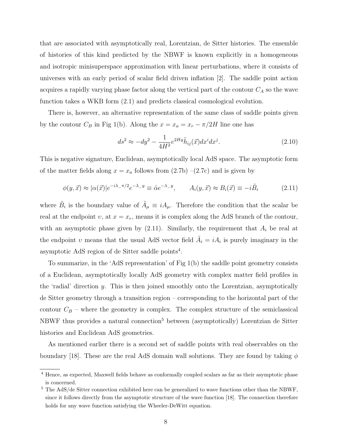that are associated with asymptotically real, Lorentzian, de Sitter histories. The ensemble of histories of this kind predicted by the NBWF is known explicitly in a homogeneous and isotropic minisuperspace approximation with linear perturbations, where it consists of universes with an early period of scalar field driven inflation [2]. The saddle point action acquires a rapidly varying phase factor along the vertical part of the contour  $C_A$  so the wave function takes a WKB form (2.1) and predicts classical cosmological evolution.

There is, however, an alternative representation of the same class of saddle points given by the contour  $C_B$  in Fig 1(b). Along the  $x = x_a = x_r - \pi/2H$  line one has

$$
ds^2 \approx -dy^2 - \frac{1}{4H^2} e^{2Hy} \tilde{h}_{ij}(\vec{x}) dx^i dx^j.
$$
\n(2.10)

This is negative signature, Euclidean, asymptotically local AdS space. The asymptotic form of the matter fields along  $x = x_a$  follows from  $(2.7b)$  – $(2.7c)$  and is given by

$$
\phi(y,\vec{x}) \approx |\alpha(\vec{x})|e^{-i\lambda_{-}\pi/2}e^{-\lambda_{-}y} \equiv \tilde{\alpha}e^{-\lambda_{-}y}, \qquad A_{i}(y,\vec{x}) \approx B_{i}(\vec{x}) \equiv -i\tilde{B}_{i} \tag{2.11}
$$

where  $\tilde{B}_i$  is the boundary value of  $\tilde{A}_\mu \equiv iA_\mu$ . Therefore the condition that the scalar be real at the endpoint v, at  $x = x_r$ , means it is complex along the AdS branch of the contour, with an asymptotic phase given by  $(2.11)$ . Similarly, the requirement that  $A_i$  be real at the endpoint v means that the usual AdS vector field  $\tilde{A}_i = iA_i$  is purely imaginary in the asymptotic AdS region of de Sitter saddle points<sup>4</sup>.

To summarize, in the 'AdS representation' of Fig 1(b) the saddle point geometry consists of a Euclidean, asymptotically locally AdS geometry with complex matter field profiles in the 'radial' direction y. This is then joined smoothly onto the Lorentzian, asymptotically de Sitter geometry through a transition region – corresponding to the horizontal part of the contour  $C_B$  – where the geometry is complex. The complex structure of the semiclassical NBWF thus provides a natural connection<sup>5</sup> between (asymptotically) Lorentzian de Sitter histories and Euclidean AdS geometries.

As mentioned earlier there is a second set of saddle points with real observables on the boundary [18]. These are the real AdS domain wall solutions. They are found by taking  $\phi$ 

<sup>4</sup> Hence, as expected, Maxwell fields behave as conformally coupled scalars as far as their asymptotic phase is concerned.

<sup>5</sup> The AdS/de Sitter connection exhibited here can be generalized to wave functions other than the NBWF, since it follows directly from the asymptotic structure of the wave function [18]. The connection therefore holds for any wave function satisfying the Wheeler-DeWitt equation.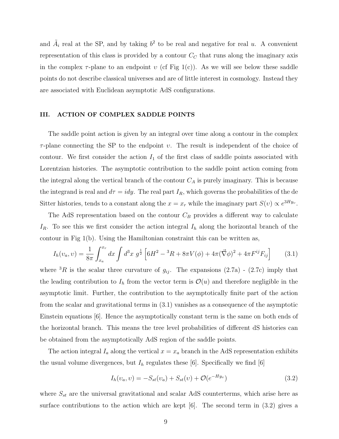and  $\tilde{A}_i$  real at the SP, and by taking  $b^2$  to be real and negative for real u. A convenient representation of this class is provided by a contour  $C<sub>C</sub>$  that runs along the imaginary axis in the complex  $\tau$ -plane to an endpoint v (cf Fig 1(c)). As we will see below these saddle points do not describe classical universes and are of little interest in cosmology. Instead they are associated with Euclidean asymptotic AdS configurations.

## III. ACTION OF COMPLEX SADDLE POINTS

The saddle point action is given by an integral over time along a contour in the complex  $\tau$ -plane connecting the SP to the endpoint v. The result is independent of the choice of contour. We first consider the action  $I_1$  of the first class of saddle points associated with Lorentzian histories. The asymptotic contribution to the saddle point action coming from the integral along the vertical branch of the contour  $C_A$  is purely imaginary. This is because the integrand is real and  $d\tau = i dy$ . The real part  $I_R$ , which governs the probabilities of the de Sitter histories, tends to a constant along the  $x = x_r$  while the imaginary part  $S(v) \propto e^{3Hy_v}$ .

The AdS representation based on the contour  $C_B$  provides a different way to calculate  $I_R$ . To see this we first consider the action integral  $I_h$  along the horizontal branch of the contour in Fig 1(b). Using the Hamiltonian constraint this can be written as,

$$
I_h(v_a, v) = \frac{1}{8\pi} \int_{x_a}^{x_r} dx \int d^3x \ g^{\frac{1}{2}} \left[ 6H^2 - {}^3R + 8\pi V(\phi) + 4\pi (\vec{\nabla}\phi)^2 + 4\pi F^{ij} F_{ij} \right] \tag{3.1}
$$

where <sup>3</sup>R is the scalar three curvature of  $g_{ij}$ . The expansions (2.7a) - (2.7c) imply that the leading contribution to  $I<sub>h</sub>$  from the vector term is  $\mathcal{O}(u)$  and therefore negligible in the asymptotic limit. Further, the contribution to the asymptotically finite part of the action from the scalar and gravitational terms in (3.1) vanishes as a consequence of the asymptotic Einstein equations [6]. Hence the asymptotically constant term is the same on both ends of the horizontal branch. This means the tree level probabilities of different dS histories can be obtained from the asymptotically AdS region of the saddle points.

The action integral  $I_a$  along the vertical  $x = x_a$  branch in the AdS representation exhibits the usual volume divergences, but  $I_h$  regulates these [6]. Specifically we find [6]

$$
I_h(v_a, v) = -S_{st}(v_a) + S_{st}(v) + \mathcal{O}(e^{-Hy_v})
$$
\n(3.2)

where  $S_{st}$  are the universal gravitational and scalar AdS counterterms, which arise here as surface contributions to the action which are kept  $[6]$ . The second term in  $(3.2)$  gives a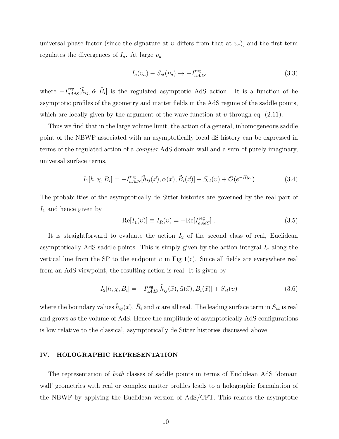universal phase factor (since the signature at  $v$  differs from that at  $v_a$ ), and the first term regulates the divergences of  $I_a$ . At large  $v_a$ 

$$
I_a(v_a) - S_{st}(v_a) \rightarrow -I_{aAdS}^{\text{reg}} \tag{3.3}
$$

where  $-I_{aAdS}^{\text{reg}}[\tilde{h}_{ij}, \tilde{\alpha}, \tilde{B}_i]$  is the regulated asymptotic AdS action. It is a function of he asymptotic profiles of the geometry and matter fields in the AdS regime of the saddle points, which are locally given by the argument of the wave function at  $v$  through eq. (2.11).

Thus we find that in the large volume limit, the action of a general, inhomogeneous saddle point of the NBWF associated with an asymptotically local dS history can be expressed in terms of the regulated action of a complex AdS domain wall and a sum of purely imaginary, universal surface terms,

$$
I_1[h, \chi, B_i] = -I_{aAdS}^{\text{reg}}[\tilde{h}_{ij}(\vec{x}), \tilde{\alpha}(\vec{x}), \tilde{B}_i(\vec{x})] + S_{st}(v) + \mathcal{O}(e^{-Hy_v})
$$
(3.4)

The probabilities of the asymptotically de Sitter histories are governed by the real part of  $I_1$  and hence given by

$$
Re[I_1(v)] \equiv I_R(v) = -Re[I_{aAdS}^{reg}].
$$
\n(3.5)

It is straightforward to evaluate the action  $I_2$  of the second class of real, Euclidean asymptotically AdS saddle points. This is simply given by the action integral  $I_a$  along the vertical line from the SP to the endpoint  $v$  in Fig 1(c). Since all fields are everywhere real from an AdS viewpoint, the resulting action is real. It is given by

$$
I_2[h, \chi, \tilde{B}_i] = -I_{aAdS}^{\text{reg}}[\tilde{h}_{ij}(\vec{x}), \tilde{\alpha}(\vec{x}), \tilde{B}_i(\vec{x})] + S_{st}(v) \tag{3.6}
$$

where the boundary values  $\tilde{h}_{ij}(\vec{x}), \tilde{B}_i$  and  $\tilde{\alpha}$  are all real. The leading surface term in  $S_{st}$  is real and grows as the volume of AdS. Hence the amplitude of asymptotically AdS configurations is low relative to the classical, asymptotically de Sitter histories discussed above.

#### IV. HOLOGRAPHIC REPRESENTATION

The representation of both classes of saddle points in terms of Euclidean AdS 'domain wall' geometries with real or complex matter profiles leads to a holographic formulation of the NBWF by applying the Euclidean version of AdS/CFT. This relates the asymptotic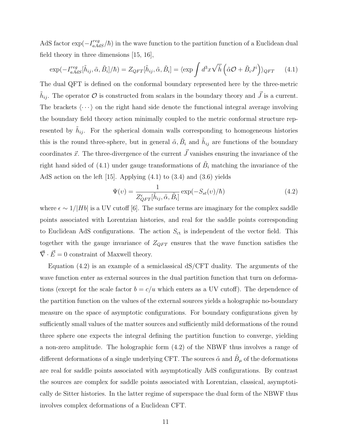AdS factor  $\exp(-I_{aAdS}^{reg}/\hbar)$  in the wave function to the partition function of a Euclidean dual field theory in three dimensions [15, 16],

$$
\exp(-I_{aAdS}^{reg}[\tilde{h}_{ij}, \tilde{\alpha}, \tilde{B}_i]/\hbar) = Z_{QFT}[\tilde{h}_{ij}, \tilde{\alpha}, \tilde{B}_i] = \langle \exp \int d^3x \sqrt{\tilde{h}} \left( \tilde{\alpha} \mathcal{O} + \tilde{B}_i J^i \right) \rangle_{QFT} \tag{4.1}
$$

The dual QFT is defined on the conformal boundary represented here by the three-metric  $\tilde{h}_{ij}$ . The operator  $\mathcal O$  is constructed from scalars in the boundary theory and  $\vec J$  is a current. The brackets  $\langle \cdots \rangle$  on the right hand side denote the functional integral average involving the boundary field theory action minimally coupled to the metric conformal structure represented by  $\tilde{h}_{ij}$ . For the spherical domain walls corresponding to homogeneous histories this is the round three-sphere, but in general  $\tilde{\alpha}, \tilde{B}_i$  and  $\tilde{h}_{ij}$  are functions of the boundary coordinates  $\vec{x}$ . The three-divergence of the current  $\vec{J}$  vanishes ensuring the invariance of the right hand sided of (4.1) under gauge transformations of  $\tilde{B}_i$  matching the invariance of the AdS action on the left [15]. Applying (4.1) to (3.4) and (3.6) yields

$$
\Psi(v) = \frac{1}{Z_{QFT}^{\epsilon}[\tilde{h}_{ij}, \tilde{\alpha}, \tilde{B}_i]} \exp(-S_{st}(v)/\hbar)
$$
\n(4.2)

where  $\epsilon \sim 1/|Hb|$  is a UV cutoff [6]. The surface terms are imaginary for the complex saddle points associated with Lorentzian histories, and real for the saddle points corresponding to Euclidean AdS configurations. The action  $S_{\text{ct}}$  is independent of the vector field. This together with the gauge invariance of  $Z_{QFT}$  ensures that the wave function satisfies the  $\vec{\nabla} \cdot \vec{E} = 0$  constraint of Maxwell theory.

Equation  $(4.2)$  is an example of a semiclassical dS/CFT duality. The arguments of the wave function enter as external sources in the dual partition function that turn on deformations (except for the scale factor  $b = c/u$  which enters as a UV cutoff). The dependence of the partition function on the values of the external sources yields a holographic no-boundary measure on the space of asymptotic configurations. For boundary configurations given by sufficiently small values of the matter sources and sufficiently mild deformations of the round three sphere one expects the integral defining the partition function to converge, yielding a non-zero amplitude. The holographic form (4.2) of the NBWF thus involves a range of different deformations of a single underlying CFT. The sources  $\tilde{\alpha}$  and  $\tilde{B}_{\mu}$  of the deformations are real for saddle points associated with asymptotically AdS configurations. By contrast the sources are complex for saddle points associated with Lorentzian, classical, asymptotically de Sitter histories. In the latter regime of superspace the dual form of the NBWF thus involves complex deformations of a Euclidean CFT.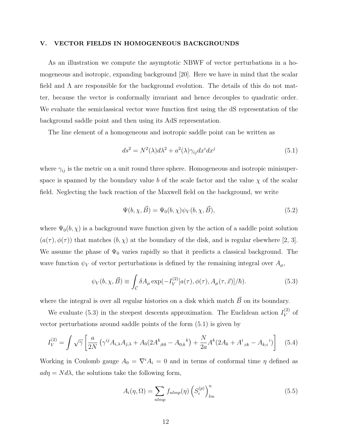## V. VECTOR FIELDS IN HOMOGENEOUS BACKGROUNDS

As an illustration we compute the asymptotic NBWF of vector perturbations in a homogeneous and isotropic, expanding background [20]. Here we have in mind that the scalar field and  $\Lambda$  are responsible for the background evolution. The details of this do not matter, because the vector is conformally invariant and hence decouples to quadratic order. We evaluate the semiclassical vector wave function first using the dS representation of the background saddle point and then using its AdS representation.

The line element of a homogeneous and isotropic saddle point can be written as

$$
ds^{2} = N^{2}(\lambda)d\lambda^{2} + a^{2}(\lambda)\gamma_{ij}dx^{i}dx^{j}
$$
\n(5.1)

where  $\gamma_{ij}$  is the metric on a unit round three sphere. Homogeneous and isotropic minisuperspace is spanned by the boundary value b of the scale factor and the value  $\chi$  of the scalar field. Neglecting the back reaction of the Maxwell field on the background, we write

$$
\Psi(b,\chi,\vec{B}) = \Psi_0(b,\chi)\psi_V(b,\chi,\vec{B}),\tag{5.2}
$$

where  $\Psi_0(b, \chi)$  is a background wave function given by the action of a saddle point solution  $(a(\tau), \phi(\tau))$  that matches  $(b, \chi)$  at the boundary of the disk, and is regular elsewhere [2, 3]. We assume the phase of  $\Psi_0$  varies rapidly so that it predicts a classical background. The wave function  $\psi_V$  of vector perturbations is defined by the remaining integral over  $A_\mu$ ,

$$
\psi_V(b,\chi,\vec{B}) \equiv \int_{\mathcal{C}} \delta A_\mu \exp(-I_V^{(2)}[a(\tau),\phi(\tau),A_\mu(\tau,\vec{x})]/\hbar).
$$
 (5.3)

where the integral is over all regular histories on a disk which match  $\vec{B}~$  on its boundary.

We evaluate (5.3) in the steepest descents approximation. The Euclidean action  $I_V^{(2)}$  $V^{(2)}$  of vector perturbations around saddle points of the form (5.1) is given by

$$
I_V^{(2)} = \int \sqrt{\gamma} \left[ \frac{a}{2N} \left( \gamma^{ij} A_{i,\lambda} A_{j,\lambda} + A_0 (2A_{;k0}^k - A_{0;k}^k) + \frac{N}{2a} A^k (2A_k + A_{;ik}^i - A_{k;i}^i) \right] \right]
$$
(5.4)

Working in Coulomb gauge  $A_0 = \nabla^i A_i = 0$  and in terms of conformal time  $\eta$  defined as  $ad\eta = N d\lambda$ , the solutions take the following form,

$$
A_i(\eta, \Omega) = \sum_{nlmp} f_{nlmp}(\eta) \left( S_i^{(p)} \right)_{lm}^n \tag{5.5}
$$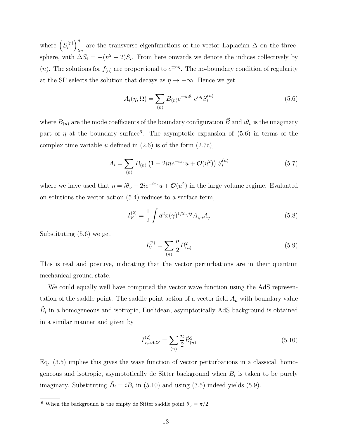where  $\left(S_i^{(p)}\right)$  $\binom{p}{i}$ are the transverse eigenfunctions of the vector Laplacian  $\Delta$  on the three-<br>lm sphere, with  $\Delta S_i = -(n^2 - 2)S_i$ . From here onwards we denote the indices collectively by (*n*). The solutions for  $f_{(n)}$  are proportional to  $e^{\pm n\eta}$ . The no-boundary condition of regularity at the SP selects the solution that decays as  $\eta \to -\infty$ . Hence we get

$$
A_i(\eta, \Omega) = \sum_{(n)} B_{(n)} e^{-in\theta_v} e^{n\eta} S_i^{(n)}
$$
\n
$$
(5.6)
$$

where  $B_{(n)}$  are the mode coefficients of the boundary configuration  $\vec{B}$  and  $i\theta_v$  is the imaginary part of  $\eta$  at the boundary surface<sup>6</sup>. The asymptotic expansion of (5.6) in terms of the complex time variable u defined in  $(2.6)$  is of the form  $(2.7c)$ ,

$$
A_i = \sum_{(n)} B_{(n)} \left( 1 - 2ine^{-ix}u + \mathcal{O}(u^2) \right) S_i^{(n)} \tag{5.7}
$$

where we have used that  $\eta = i\theta_v - 2ie^{-ix_r}u + \mathcal{O}(u^2)$  in the large volume regime. Evaluated on solutions the vector action (5.4) reduces to a surface term,

$$
I_V^{(2)} = \frac{1}{2} \int d^3x (\gamma)^{1/2} \gamma^{ij} A_{i,\eta} A_j
$$
 (5.8)

Substituting (5.6) we get

$$
I_V^{(2)} = \sum_{(n)} \frac{n}{2} B_{(n)}^2 \tag{5.9}
$$

This is real and positive, indicating that the vector perturbations are in their quantum mechanical ground state.

We could equally well have computed the vector wave function using the AdS representation of the saddle point. The saddle point action of a vector field  $\tilde{A}_{\mu}$  with boundary value  $\tilde{B}_i$  in a homogeneous and isotropic, Euclidean, asymptotically AdS background is obtained in a similar manner and given by

$$
I_{V,aAdS}^{(2)} = \sum_{(n)} \frac{n}{2} \tilde{B}_{(n)}^2
$$
\n(5.10)

Eq. (3.5) implies this gives the wave function of vector perturbations in a classical, homogeneous and isotropic, asymptotically de Sitter background when  $\tilde{B}_i$  is taken to be purely imaginary. Substituting  $\tilde{B}_i = iB_i$  in (5.10) and using (3.5) indeed yields (5.9).

<sup>&</sup>lt;sup>6</sup> When the background is the empty de Sitter saddle point  $\theta_v = \pi/2$ .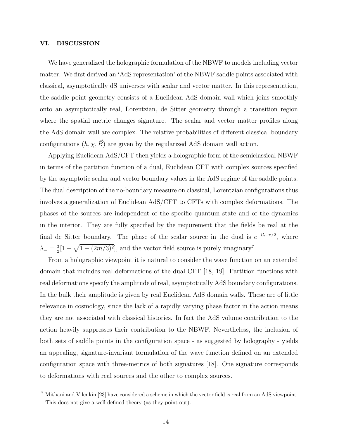## VI. DISCUSSION

We have generalized the holographic formulation of the NBWF to models including vector matter. We first derived an 'AdS representation' of the NBWF saddle points associated with classical, asymptotically dS universes with scalar and vector matter. In this representation, the saddle point geometry consists of a Euclidean AdS domain wall which joins smoothly onto an asymptotically real, Lorentzian, de Sitter geometry through a transition region where the spatial metric changes signature. The scalar and vector matter profiles along the AdS domain wall are complex. The relative probabilities of different classical boundary configurations  $(h, \chi, \vec{B})$  are given by the regularized AdS domain wall action.

Applying Euclidean AdS/CFT then yields a holographic form of the semiclassical NBWF in terms of the partition function of a dual, Euclidean CFT with complex sources specified by the asymptotic scalar and vector boundary values in the AdS regime of the saddle points. The dual description of the no-boundary measure on classical, Lorentzian configurations thus involves a generalization of Euclidean AdS/CFT to CFTs with complex deformations. The phases of the sources are independent of the specific quantum state and of the dynamics in the interior. They are fully specified by the requirement that the fields be real at the final de Sitter boundary. The phase of the scalar source in the dual is  $e^{-i\lambda-\pi/2}$ , where  $\lambda_-=\frac{3}{2}$  $\frac{3}{2}[1-\sqrt{1-(2m/3)^2}]$ , and the vector field source is purely imaginary<sup>7</sup>.

From a holographic viewpoint it is natural to consider the wave function on an extended domain that includes real deformations of the dual CFT [18, 19]. Partition functions with real deformations specify the amplitude of real, asymptotically AdS boundary configurations. In the bulk their amplitude is given by real Euclidean AdS domain walls. These are of little relevance in cosmology, since the lack of a rapidly varying phase factor in the action means they are not associated with classical histories. In fact the AdS volume contribution to the action heavily suppresses their contribution to the NBWF. Nevertheless, the inclusion of both sets of saddle points in the configuration space - as suggested by holography - yields an appealing, signature-invariant formulation of the wave function defined on an extended configuration space with three-metrics of both signatures [18]. One signature corresponds to deformations with real sources and the other to complex sources.

<sup>7</sup> Mithani and Vilenkin [23] have considered a scheme in which the vector field is real from an AdS viewpoint. This does not give a well-defined theory (as they point out).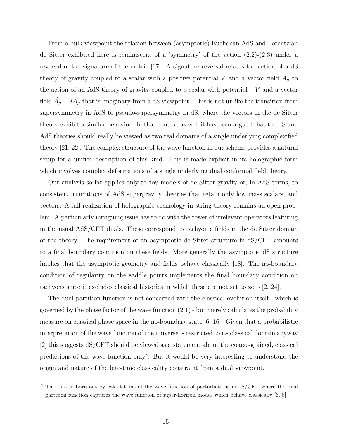From a bulk viewpoint the relation between (asymptotic) Euclidean AdS and Lorentzian de Sitter exhibited here is reminiscent of a 'symmetry' of the action (2.2)-(2.3) under a reversal of the signature of the metric [17]. A signature reversal relates the action of a dS theory of gravity coupled to a scalar with a positive potential V and a vector field  $A_\mu$  to the action of an AdS theory of gravity coupled to a scalar with potential −V and a vector field  $\tilde{A}_{\mu} = iA_{\mu}$  that is imaginary from a dS viewpoint. This is not unlike the transition from supersymmetry in AdS to pseudo-supersymmetry in dS, where the vectors in the de Sitter theory exhibit a similar behavior. In that context as well it has been argued that the dS and AdS theories should really be viewed as two real domains of a single underlying complexified theory [21, 22]. The complex structure of the wave function in our scheme provides a natural setup for a unified description of this kind. This is made explicit in its holographic form which involves complex deformations of a single underlying dual conformal field theory.

Our analysis so far applies only to toy models of de Sitter gravity or, in AdS terms, to consistent truncations of AdS supergravity theories that retain only low mass scalars, and vectors. A full realization of holographic cosmology in string theory remains an open problem. A particularly intriguing issue has to do with the tower of irrelevant operators featuring in the usual AdS/CFT duals. These correspond to tachyonic fields in the de Sitter domain of the theory. The requirement of an asymptotic de Sitter structure in dS/CFT amounts to a final boundary condition on these fields. More generally the asymptotic dS structure implies that the asymptotic geometry and fields behave classically [18]. The no-boundary condition of regularity on the saddle points implements the final boundary condition on tachyons since it excludes classical histories in which these are not set to zero [2, 24].

The dual partition function is not concerned with the classical evolution itself - which is governed by the phase factor of the wave function  $(2.1)$  - but merely calculates the probability measure on classical phase space in the no-boundary state [6, 16]. Given that a probabilistic interpretation of the wave function of the universe is restricted to its classical domain anyway [2] this suggests dS/CFT should be viewed as a statement about the coarse-grained, classical predictions of the wave function only<sup>8</sup>. But it would be very interesting to understand the origin and nature of the late-time classicality constraint from a dual viewpoint.

<sup>&</sup>lt;sup>8</sup> This is also born out by calculations of the wave function of perturbations in dS/CFT where the dual partition function captures the wave function of super-horizon modes which behave classically [6, 8].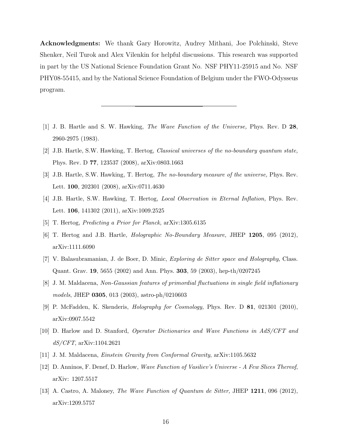Acknowledgments: We thank Gary Horowitz, Audrey Mithani, Joe Polchinski, Steve Shenker, Neil Turok and Alex Vilenkin for helpful discussions. This research was supported in part by the US National Science Foundation Grant No. NSF PHY11-25915 and No. NSF PHY08-55415, and by the National Science Foundation of Belgium under the FWO-Odysseus program.

- [1] J. B. Hartle and S. W. Hawking, The Wave Function of the Universe, Phys. Rev. D 28, 2960-2975 (1983).
- [2] J.B. Hartle, S.W. Hawking, T. Hertog, Classical universes of the no-boundary quantum state, Phys. Rev. D 77, 123537 (2008), arXiv:0803.1663
- [3] J.B. Hartle, S.W. Hawking, T. Hertog, The no-boundary measure of the universe, Phys. Rev. Lett. 100, 202301 (2008), arXiv:0711.4630
- [4] J.B. Hartle, S.W. Hawking, T. Hertog, Local Observation in Eternal Inflation, Phys. Rev. Lett. 106, 141302 (2011), arXiv:1009.2525
- [5] T. Hertog, Predicting a Prior for Planck, arXiv:1305.6135
- [6] T. Hertog and J.B. Hartle, *Holographic No-Boundary Measure*, JHEP 1205, 095 (2012), arXiv:1111.6090
- [7] V. Balasubramanian, J. de Boer, D. Minic, Exploring de Sitter space and Holography, Class. Quant. Grav. 19, 5655 (2002) and Ann. Phys. 303, 59 (2003), hep-th/0207245
- [8] J. M. Maldacena, Non-Gaussian features of primordial fluctuations in single field inflationary models, JHEP 0305, 013 (2003), astro-ph/0210603
- [9] P. McFadden, K. Skenderis, Holography for Cosmology, Phys. Rev. D 81, 021301 (2010), arXiv:0907.5542
- [10] D. Harlow and D. Stanford, Operator Dictionaries and Wave Functions in AdS/CFT and dS/CFT, arXiv:1104.2621
- [11] J. M. Maldacena, Einstein Gravity from Conformal Gravity, arXiv:1105.5632
- [12] D. Anninos, F. Denef, D. Harlow, Wave Function of Vasiliev's Universe A Few Slices Thereof, arXiv: 1207.5517
- [13] A. Castro, A. Maloney, The Wave Function of Quantum de Sitter, JHEP 1211, 096 (2012), arXiv:1209.5757